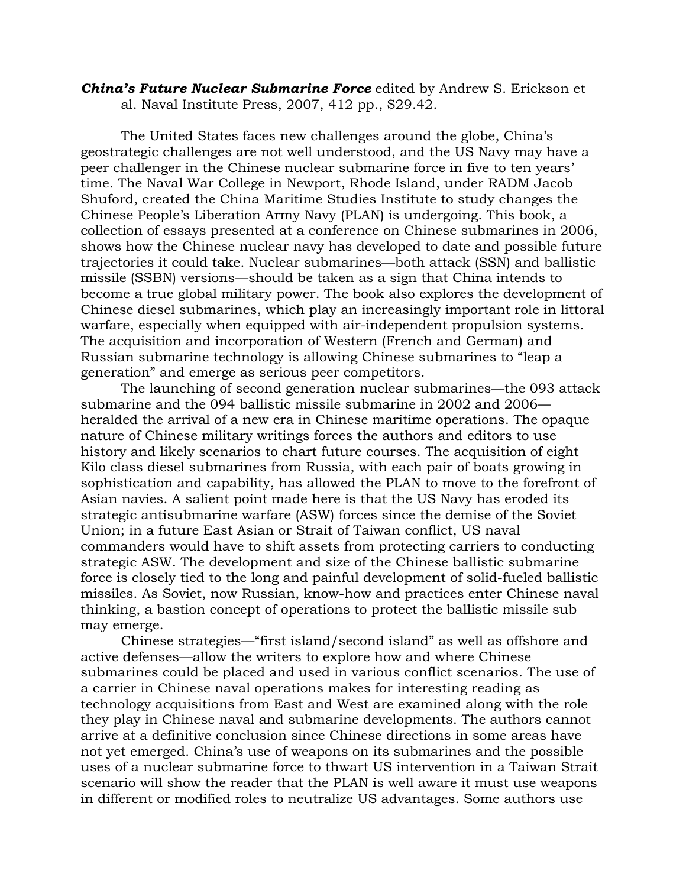## *China's Future Nuclear Submarine Force* edited by Andrew S. Erickson et al. Naval Institute Press, 2007, 412 pp., \$29.42.

The United States faces new challenges around the globe, China's geostrategic challenges are not well understood, and the US Navy may have a peer challenger in the Chinese nuclear submarine force in five to ten years' time. The Naval War College in Newport, Rhode Island, under RADM Jacob Shuford, created the China Maritime Studies Institute to study changes the Chinese People's Liberation Army Navy (PLAN) is undergoing. This book, a collection of essays presented at a conference on Chinese submarines in 2006, shows how the Chinese nuclear navy has developed to date and possible future trajectories it could take. Nuclear submarines—both attack (SSN) and ballistic missile (SSBN) versions—should be taken as a sign that China intends to become a true global military power. The book also explores the development of Chinese diesel submarines, which play an increasingly important role in littoral warfare, especially when equipped with air-independent propulsion systems. The acquisition and incorporation of Western (French and German) and Russian submarine technology is allowing Chinese submarines to "leap a generation" and emerge as serious peer competitors.

The launching of second generation nuclear submarines—the 093 attack submarine and the 094 ballistic missile submarine in 2002 and 2006 heralded the arrival of a new era in Chinese maritime operations. The opaque nature of Chinese military writings forces the authors and editors to use history and likely scenarios to chart future courses. The acquisition of eight Kilo class diesel submarines from Russia, with each pair of boats growing in sophistication and capability, has allowed the PLAN to move to the forefront of Asian navies. A salient point made here is that the US Navy has eroded its strategic antisubmarine warfare (ASW) forces since the demise of the Soviet Union; in a future East Asian or Strait of Taiwan conflict, US naval commanders would have to shift assets from protecting carriers to conducting strategic ASW. The development and size of the Chinese ballistic submarine force is closely tied to the long and painful development of solid-fueled ballistic missiles. As Soviet, now Russian, know-how and practices enter Chinese naval thinking, a bastion concept of operations to protect the ballistic missile sub may emerge.

Chinese strategies—"first island/second island" as well as offshore and active defenses—allow the writers to explore how and where Chinese submarines could be placed and used in various conflict scenarios. The use of a carrier in Chinese naval operations makes for interesting reading as technology acquisitions from East and West are examined along with the role they play in Chinese naval and submarine developments. The authors cannot arrive at a definitive conclusion since Chinese directions in some areas have not yet emerged. China's use of weapons on its submarines and the possible uses of a nuclear submarine force to thwart US intervention in a Taiwan Strait scenario will show the reader that the PLAN is well aware it must use weapons in different or modified roles to neutralize US advantages. Some authors use